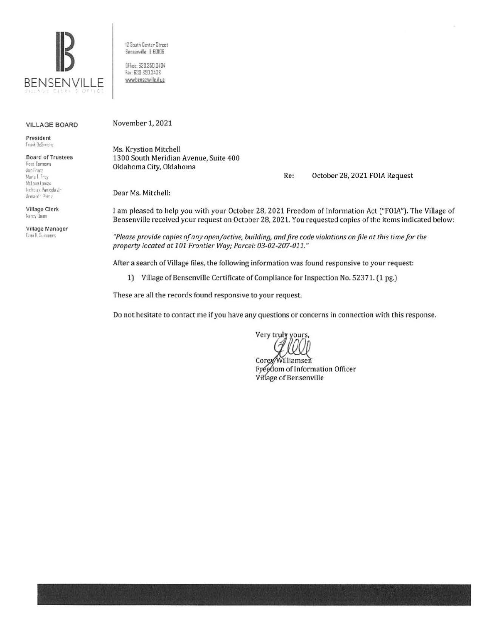

12 South Center Street Benserville, IL 60106

Bffice: 630.350.3404 Fax: 630.350.3438 www.bensenville.il us

#### **VILLAGE BOARD**

President **Trank DeSimone** 

| <b>Board of Trustees</b> |
|--------------------------|
| Rosa Carmona             |
| Ann Franz                |
| Marie T. Frey            |
| McLane Lumax             |
| Nicholas Panicola Jr     |
| Armando Perez            |

Village Clerk Nancy Duron

Village Manager Evan K. Summers

November 1, 2021

Ms. Krystion Mitchell 1300 South Meridian Avenue, Suite 400 Oklahoma City, Oklahoma

Re: October 28, 2021 FOIA Request

Dear Ms. Mitchell:

I am pleased to help you with your October 28, 2021 Freedom of Information Act ("FOIA"). The Village of Bensenville received your request on October 28, 2021. You requested copies of the items indicated below:

"Please provide copies of any open/active, building, and fire code violations on file at this time for the property located at 101 Frontier Way; Parcel: 03-02-207-011."

After a search of Village files, the following information was found responsive to your request:

1) Village of Bensenville Certificate of Compliance for Inspection No. 52371. (1 pg.)

These are all the records found responsive to your request.

Do not hesitate to contact me if you have any questions or concerns in connection with this response.

Very truly yours,

Corey/Williamsen Freedom of Information Officer Village of Bensenville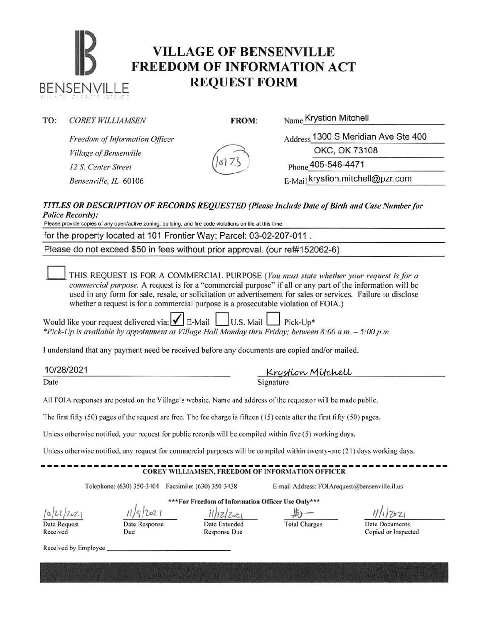# **IB PREEDOM OF INFORMATION ACT** BENSENVILLE **REQUEST FORM**

|  | TO: | <b>COREY WILLIAMSEN</b> |
|--|-----|-------------------------|
|--|-----|-------------------------|

., - .-

FROM: Name Krystion Mitchell

*Freedom qf Information Officer Village of Bensenville 12 S. Center Street*  $\binom{817}{5}$  Phone 405-546-4471

Address 1300 S Meridian Ave Ste 400

OKC, OK 73108

*Bensenville, IL* 60106 **E-Mail krystion.mitchell@pzr.com** 

#### *TI TLES OR DESCRIPTION OF RECORDS REQUESTED (Please Include Date of Birth and Case Number for*  Police Records):

Please provide copies of any open/active zoning, building, and fire code violations on file at this time

for the property located at 101 Frontier Way; Parcel: 03-02-207-011

Please do not exceed \$50 in fees without prior approval. (our ref#152062-6)

0 THIS REQUEST IS FOR A COMMERCIAL PURPOSE *(You must state whether your request is for a commercial pwpose.* A request is for a "commercial purpose" if all or any part of the information will be used in any form for sale, resale, or solicitation or advertisement for sales or services. Failure to disclose whether a request is for a commercial purpose is a prosecutable violation of FOIA.)

Would like your request delivered via:  $\blacksquare$  E-Mail  $\blacksquare$  U.S. Mail  $\blacksquare$  Pick-Up\* *\*Pick-Up is available by appointment at Village Hall Monday thru Friday; between 8:00a.m. -5:00 p.m.* 

I understand that any payment need be received before any documents are copied and/or mailed.

10/28/2021 <u>IVIZOIZUZI</u><br>Date Signature Signature

All FOIA responses arc posted on the Village's website. Name and address orthe requestor will be made public.

The first fifty  $(50)$  pages of the request are free. The fee charge is fifteen  $(15)$  cents after the first fifty  $(50)$  pages.

Unless otherwise notified, your request for public records will be compiled within five (5) working days.

Unless otherwise notified, any request for commercial purposes will be compiled within twenty-one (21) days working days.

## ------------------------------------------------------------- COREY WILLIAMSEN, FREEDOM OF I 'FORMATION OFFICER

Telephone: (630) 350-3404 Facsimile: (630) 350-3438 E-mail Address: FOIArequest@bensenville.il.us

 $10,001/202$ Date Request

Received

\*\*\*For Freedom of Information Officer Usc Only\*\*\*  $202$ Response

Due

Date Extended Response Due

*il/tdl»L\ -»o--*

Total Charges Date Documents

Copied or Inspected

Received by Employee: